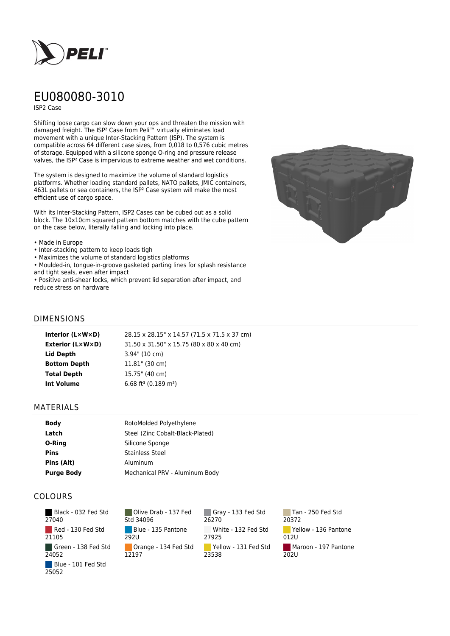

# EU080080-3010

ISP2 Case

Shifting loose cargo can slow down your ops and threaten the mission with damaged freight. The ISP² Case from Peli™ virtually eliminates load movement with a unique Inter-Stacking Pattern (ISP). The system is compatible across 64 different case sizes, from 0,018 to 0,576 cubic metres of storage. Equipped with a silicone sponge O-ring and pressure release valves, the ISP² Case is impervious to extreme weather and wet conditions.

The system is designed to maximize the volume of standard logistics platforms. Whether loading standard pallets, NATO pallets, JMIC containers, 463L pallets or sea containers, the ISP² Case system will make the most efficient use of cargo space.

With its Inter-Stacking Pattern, ISP2 Cases can be cubed out as a solid block. The 10x10cm squared pattern bottom matches with the cube pattern on the case below, literally falling and locking into place.

#### • Made in Europe

- Inter-stacking pattern to keep loads tigh
- Maximizes the volume of standard logistics platforms

• Moulded-in, tongue-in-groove gasketed parting lines for splash resistance and tight seals, even after impact

• Positive anti-shear locks, which prevent lid separation after impact, and reduce stress on hardware



### DIMENSIONS

| Interior (LxWxD)    | 28.15 x 28.15" x 14.57 (71.5 x 71.5 x 37 cm) |
|---------------------|----------------------------------------------|
| Exterior (L×W×D)    | 31.50 x 31.50" x 15.75 (80 x 80 x 40 cm)     |
| Lid Depth           | $3.94$ " (10 cm)                             |
| <b>Bottom Depth</b> | $11.81$ " (30 cm)                            |
| <b>Total Depth</b>  | 15.75" (40 cm)                               |
| <b>Int Volume</b>   | 6.68 ft <sup>3</sup> (0.189 m <sup>3</sup> ) |
|                     |                                              |

#### MATERIALS

| <b>Body</b>       | RotoMolded Polyethylene          |  |
|-------------------|----------------------------------|--|
| Latch             | Steel (Zinc Cobalt-Black-Plated) |  |
| O-Ring            | Silicone Sponge                  |  |
| <b>Pins</b>       | <b>Stainless Steel</b>           |  |
| Pins (Alt)        | Aluminum                         |  |
| <b>Purge Body</b> | Mechanical PRV - Aluminum Body   |  |

## COLOURS

| Black - 032 Fed Std<br>27040 |
|------------------------------|
| Red - 130 Fed Std<br>21105   |
| Green - 138 Fed Std<br>24052 |
| Blue - 101 Fed Std<br>25052  |

Olive Drab - 137 Fed Std 34096 Blue - 135 Pantone 292U Orange - 134 Fed Std 12197

Gray - 133 Fed Std 26270 White - 132 Fed Std 27925 Yellow - 131 Fed Std 23538

Tan - 250 Fed Std 20372 Yellow - 136 Pantone 012U Maroon - 197 Pantone  $202U$